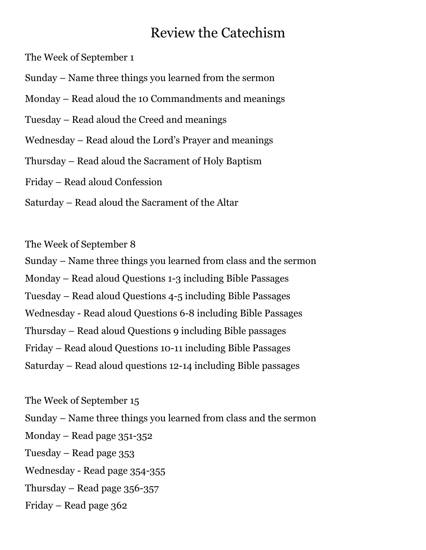The Week of September 1

Sunday – Name three things you learned from the sermon

Monday – Read aloud the 10 Commandments and meanings

Tuesday – Read aloud the Creed and meanings

Wednesday – Read aloud the Lord's Prayer and meanings

Thursday – Read aloud the Sacrament of Holy Baptism

Friday – Read aloud Confession

Saturday – Read aloud the Sacrament of the Altar

The Week of September 8

Sunday – Name three things you learned from class and the sermon Monday – Read aloud Questions 1-3 including Bible Passages Tuesday – Read aloud Questions 4-5 including Bible Passages Wednesday - Read aloud Questions 6-8 including Bible Passages Thursday – Read aloud Questions 9 including Bible passages Friday – Read aloud Questions 10-11 including Bible Passages Saturday – Read aloud questions 12-14 including Bible passages

The Week of September 15 Sunday – Name three things you learned from class and the sermon Monday – Read page 351-352 Tuesday – Read page 353 Wednesday - Read page 354-355 Thursday – Read page 356-357 Friday – Read page 362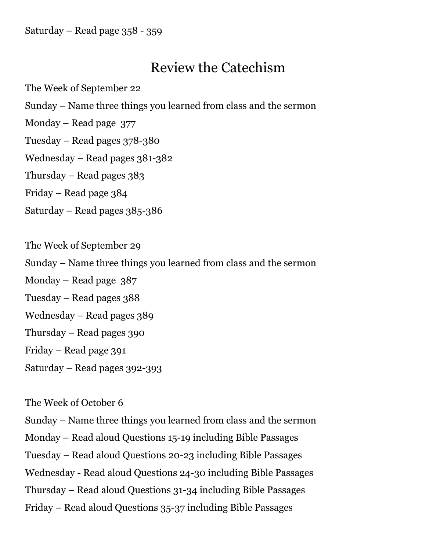Saturday – Read page 358 - 359

# Review the Catechism

The Week of September 22 Sunday – Name three things you learned from class and the sermon Monday – Read page 377 Tuesday – Read pages 378-380 Wednesday – Read pages 381-382 Thursday – Read pages 383 Friday – Read page 384 Saturday – Read pages 385-386 The Week of September 29 Sunday – Name three things you learned from class and the sermon Monday – Read page 387 Tuesday – Read pages 388 Wednesday – Read pages 389 Thursday – Read pages 390 Friday – Read page 391 Saturday – Read pages 392-393

### The Week of October 6

Sunday – Name three things you learned from class and the sermon

Monday – Read aloud Questions 15-19 including Bible Passages

Tuesday – Read aloud Questions 20-23 including Bible Passages

Wednesday - Read aloud Questions 24-30 including Bible Passages

Thursday – Read aloud Questions 31-34 including Bible Passages

Friday – Read aloud Questions 35-37 including Bible Passages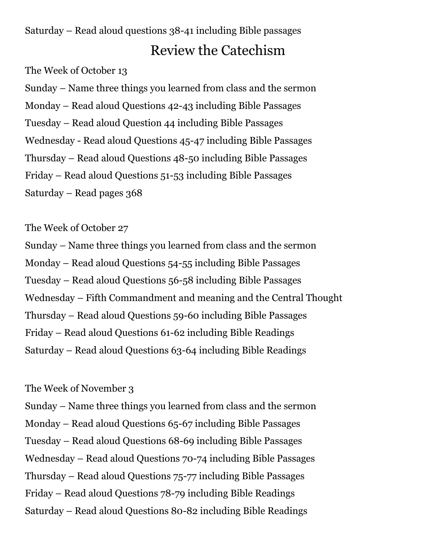Saturday – Read aloud questions 38-41 including Bible passages Review the Catechism

The Week of October 13

Sunday – Name three things you learned from class and the sermon Monday – Read aloud Questions 42-43 including Bible Passages Tuesday – Read aloud Question 44 including Bible Passages Wednesday - Read aloud Questions 45-47 including Bible Passages Thursday – Read aloud Questions 48-50 including Bible Passages Friday – Read aloud Questions 51-53 including Bible Passages Saturday – Read pages 368

### The Week of October 27

Sunday – Name three things you learned from class and the sermon Monday – Read aloud Questions 54-55 including Bible Passages Tuesday – Read aloud Questions 56-58 including Bible Passages Wednesday – Fifth Commandment and meaning and the Central Thought Thursday – Read aloud Questions 59-60 including Bible Passages Friday – Read aloud Questions 61-62 including Bible Readings Saturday – Read aloud Questions 63-64 including Bible Readings

### The Week of November 3

Sunday – Name three things you learned from class and the sermon Monday – Read aloud Questions 65-67 including Bible Passages Tuesday – Read aloud Questions 68-69 including Bible Passages Wednesday – Read aloud Questions 70-74 including Bible Passages Thursday – Read aloud Questions 75-77 including Bible Passages Friday – Read aloud Questions 78-79 including Bible Readings Saturday – Read aloud Questions 80-82 including Bible Readings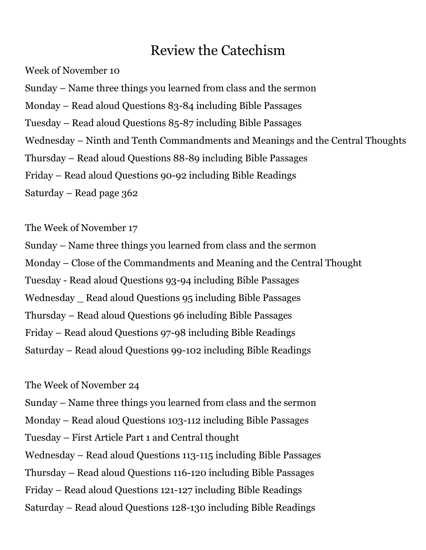Week of November 10

Sunday – Name three things you learned from class and the sermon Monday – Read aloud Questions 83-84 including Bible Passages Tuesday – Read aloud Questions 85-87 including Bible Passages Wednesday – Ninth and Tenth Commandments and Meanings and the Central Thoughts Thursday – Read aloud Questions 88-89 including Bible Passages Friday – Read aloud Questions 90-92 including Bible Readings Saturday – Read page 362

The Week of November 17

Sunday – Name three things you learned from class and the sermon Monday – Close of the Commandments and Meaning and the Central Thought Tuesday - Read aloud Questions 93-94 including Bible Passages Wednesday \_ Read aloud Questions 95 including Bible Passages Thursday – Read aloud Questions 96 including Bible Passages Friday – Read aloud Questions 97-98 including Bible Readings Saturday – Read aloud Questions 99-102 including Bible Readings

The Week of November 24

Sunday – Name three things you learned from class and the sermon Monday – Read aloud Questions 103-112 including Bible Passages Tuesday – First Article Part 1 and Central thought Wednesday – Read aloud Questions 113-115 including Bible Passages Thursday – Read aloud Questions 116-120 including Bible Passages

Friday – Read aloud Questions 121-127 including Bible Readings

Saturday – Read aloud Questions 128-130 including Bible Readings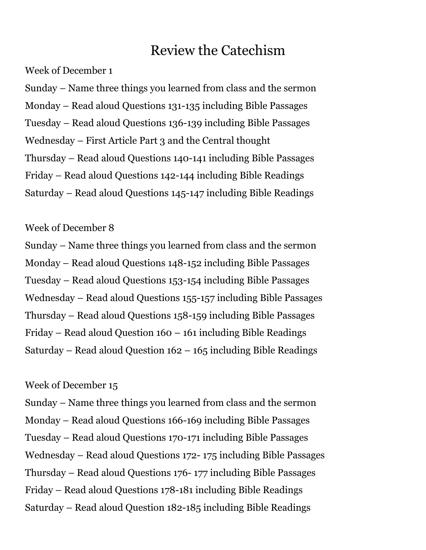#### Week of December 1

Sunday – Name three things you learned from class and the sermon Monday – Read aloud Questions 131-135 including Bible Passages Tuesday – Read aloud Questions 136-139 including Bible Passages Wednesday – First Article Part 3 and the Central thought Thursday – Read aloud Questions 140-141 including Bible Passages Friday – Read aloud Questions 142-144 including Bible Readings Saturday – Read aloud Questions 145-147 including Bible Readings

### Week of December 8

Sunday – Name three things you learned from class and the sermon Monday – Read aloud Questions 148-152 including Bible Passages Tuesday – Read aloud Questions 153-154 including Bible Passages Wednesday – Read aloud Questions 155-157 including Bible Passages Thursday – Read aloud Questions 158-159 including Bible Passages Friday – Read aloud Question 160 – 161 including Bible Readings Saturday – Read aloud Question 162 – 165 including Bible Readings

### Week of December 15

Sunday – Name three things you learned from class and the sermon Monday – Read aloud Questions 166-169 including Bible Passages Tuesday – Read aloud Questions 170-171 including Bible Passages Wednesday – Read aloud Questions 172- 175 including Bible Passages Thursday – Read aloud Questions 176- 177 including Bible Passages Friday – Read aloud Questions 178-181 including Bible Readings Saturday – Read aloud Question 182-185 including Bible Readings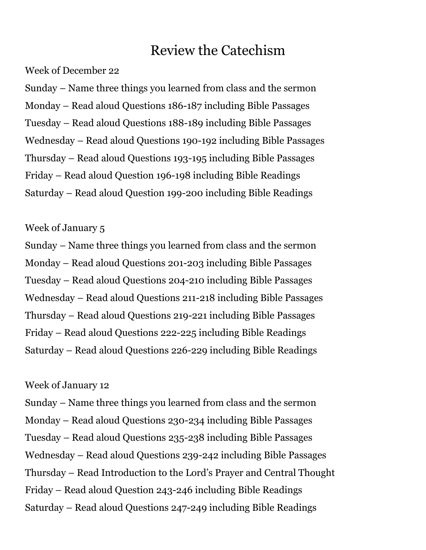Week of December 22

Sunday – Name three things you learned from class and the sermon Monday – Read aloud Questions 186-187 including Bible Passages Tuesday – Read aloud Questions 188-189 including Bible Passages Wednesday – Read aloud Questions 190-192 including Bible Passages Thursday – Read aloud Questions 193-195 including Bible Passages Friday – Read aloud Question 196-198 including Bible Readings Saturday – Read aloud Question 199-200 including Bible Readings

### Week of January 5

Sunday – Name three things you learned from class and the sermon Monday – Read aloud Questions 201-203 including Bible Passages Tuesday – Read aloud Questions 204-210 including Bible Passages Wednesday – Read aloud Questions 211-218 including Bible Passages Thursday – Read aloud Questions 219-221 including Bible Passages Friday – Read aloud Questions 222-225 including Bible Readings Saturday – Read aloud Questions 226-229 including Bible Readings

#### Week of January 12

Sunday – Name three things you learned from class and the sermon Monday – Read aloud Questions 230-234 including Bible Passages Tuesday – Read aloud Questions 235-238 including Bible Passages Wednesday – Read aloud Questions 239-242 including Bible Passages Thursday – Read Introduction to the Lord's Prayer and Central Thought Friday – Read aloud Question 243-246 including Bible Readings Saturday – Read aloud Questions 247-249 including Bible Readings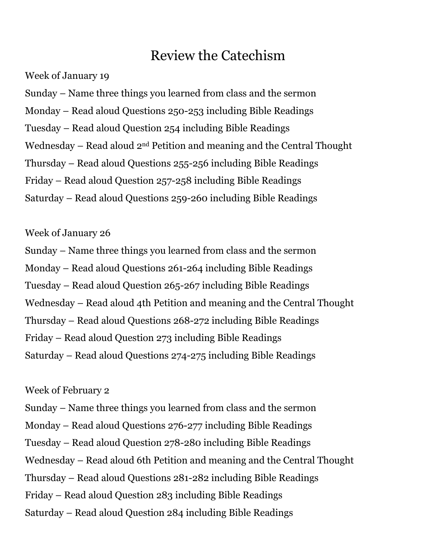Week of January 19

Sunday – Name three things you learned from class and the sermon Monday – Read aloud Questions 250-253 including Bible Readings Tuesday – Read aloud Question 254 including Bible Readings Wednesday – Read aloud 2nd Petition and meaning and the Central Thought Thursday – Read aloud Questions 255-256 including Bible Readings Friday – Read aloud Question 257-258 including Bible Readings Saturday – Read aloud Questions 259-260 including Bible Readings

### Week of January 26

Sunday – Name three things you learned from class and the sermon Monday – Read aloud Questions 261-264 including Bible Readings Tuesday – Read aloud Question 265-267 including Bible Readings Wednesday – Read aloud 4th Petition and meaning and the Central Thought Thursday – Read aloud Questions 268-272 including Bible Readings Friday – Read aloud Question 273 including Bible Readings Saturday – Read aloud Questions 274-275 including Bible Readings

### Week of February 2

Sunday – Name three things you learned from class and the sermon Monday – Read aloud Questions 276-277 including Bible Readings Tuesday – Read aloud Question 278-280 including Bible Readings Wednesday – Read aloud 6th Petition and meaning and the Central Thought Thursday – Read aloud Questions 281-282 including Bible Readings Friday – Read aloud Question 283 including Bible Readings Saturday – Read aloud Question 284 including Bible Readings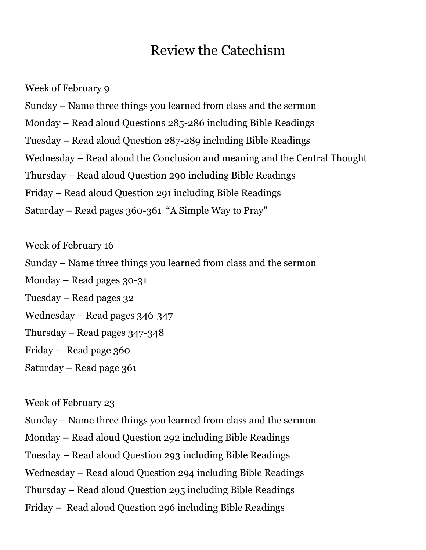Week of February 9 Sunday – Name three things you learned from class and the sermon Monday – Read aloud Questions 285-286 including Bible Readings Tuesday – Read aloud Question 287-289 including Bible Readings Wednesday – Read aloud the Conclusion and meaning and the Central Thought Thursday – Read aloud Question 290 including Bible Readings Friday – Read aloud Question 291 including Bible Readings Saturday – Read pages 360-361 "A Simple Way to Pray"

Week of February 16 Sunday – Name three things you learned from class and the sermon Monday – Read pages 30-31 Tuesday – Read pages 32 Wednesday – Read pages 346-347 Thursday – Read pages 347-348 Friday – Read page 360 Saturday – Read page 361

### Week of February 23

Sunday – Name three things you learned from class and the sermon

Monday – Read aloud Question 292 including Bible Readings

Tuesday – Read aloud Question 293 including Bible Readings

Wednesday – Read aloud Question 294 including Bible Readings

Thursday – Read aloud Question 295 including Bible Readings

Friday – Read aloud Question 296 including Bible Readings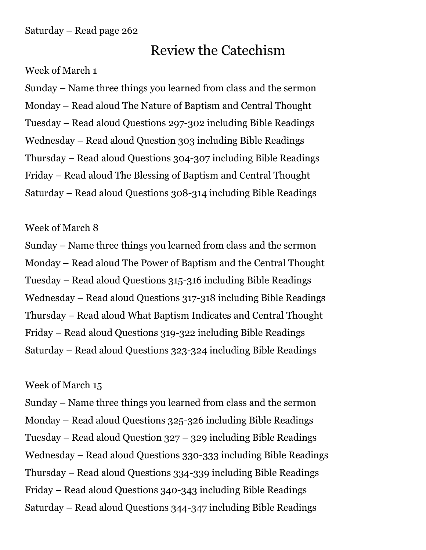### Week of March 1

Sunday – Name three things you learned from class and the sermon Monday – Read aloud The Nature of Baptism and Central Thought Tuesday – Read aloud Questions 297-302 including Bible Readings Wednesday – Read aloud Question 303 including Bible Readings Thursday – Read aloud Questions 304-307 including Bible Readings Friday – Read aloud The Blessing of Baptism and Central Thought Saturday – Read aloud Questions 308-314 including Bible Readings

### Week of March 8

Sunday – Name three things you learned from class and the sermon Monday – Read aloud The Power of Baptism and the Central Thought Tuesday – Read aloud Questions 315-316 including Bible Readings Wednesday – Read aloud Questions 317-318 including Bible Readings Thursday – Read aloud What Baptism Indicates and Central Thought Friday – Read aloud Questions 319-322 including Bible Readings Saturday – Read aloud Questions 323-324 including Bible Readings

### Week of March 15

Sunday – Name three things you learned from class and the sermon Monday – Read aloud Questions 325-326 including Bible Readings Tuesday – Read aloud Question 327 – 329 including Bible Readings Wednesday – Read aloud Questions 330-333 including Bible Readings Thursday – Read aloud Questions 334-339 including Bible Readings Friday – Read aloud Questions 340-343 including Bible Readings Saturday – Read aloud Questions 344-347 including Bible Readings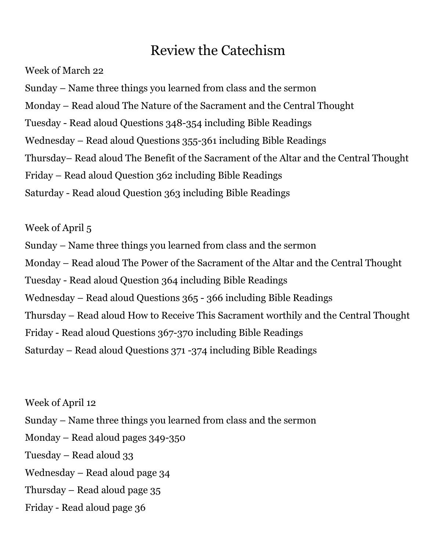Week of March 22

Sunday – Name three things you learned from class and the sermon

Monday – Read aloud The Nature of the Sacrament and the Central Thought

Tuesday - Read aloud Questions 348-354 including Bible Readings

Wednesday – Read aloud Questions 355-361 including Bible Readings

Thursday– Read aloud The Benefit of the Sacrament of the Altar and the Central Thought

Friday – Read aloud Question 362 including Bible Readings

Saturday - Read aloud Question 363 including Bible Readings

Week of April 5

Sunday – Name three things you learned from class and the sermon Monday – Read aloud The Power of the Sacrament of the Altar and the Central Thought Tuesday - Read aloud Question 364 including Bible Readings Wednesday – Read aloud Questions 365 - 366 including Bible Readings

Thursday – Read aloud How to Receive This Sacrament worthily and the Central Thought

Friday - Read aloud Questions 367-370 including Bible Readings

Saturday – Read aloud Questions 371 -374 including Bible Readings

Week of April 12 Sunday – Name three things you learned from class and the sermon Monday – Read aloud pages 349-350 Tuesday – Read aloud 33 Wednesday – Read aloud page 34 Thursday – Read aloud page 35 Friday - Read aloud page 36